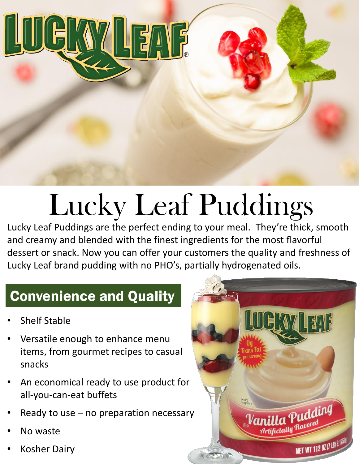

## Lucky Leaf Puddings

Lucky Leaf Puddings are the perfect ending to your meal. They're thick, smooth and creamy and blended with the finest ingredients for the most flavorful dessert or snack. Now you can offer your customers the quality and freshness of Lucky Leaf brand pudding with no PHO's, partially hydrogenated oils.

## Convenience and Quality

- **Shelf Stable**
- Versatile enough to enhance menu items, from gourmet recipes to casual snacks
- An economical ready to use product for all-you-can-eat buffets
- Ready to use  $-$  no preparation necessary
- No waste
- Kosher Dairy